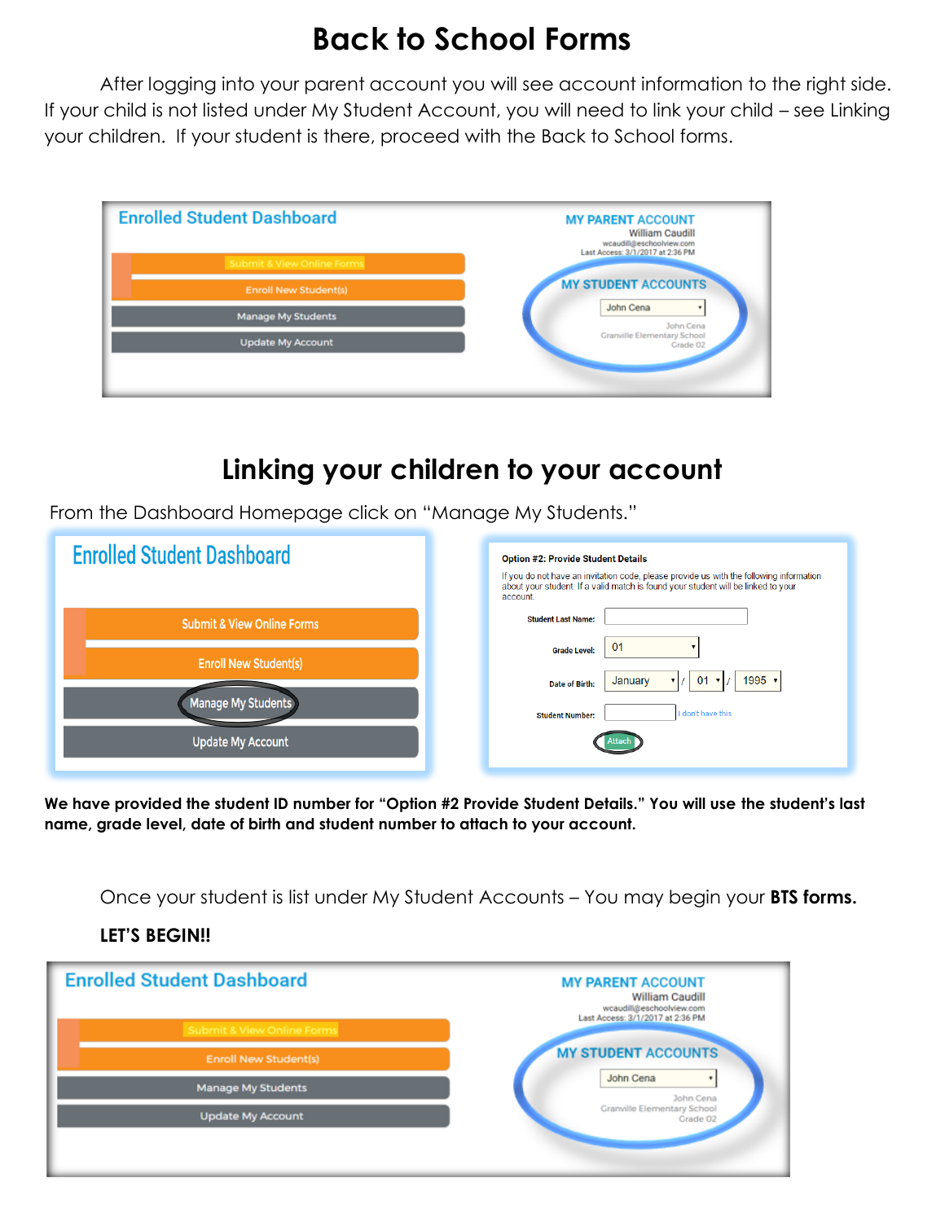## **Back to School Forms**

After logging into your parent account you will see account information to the right side. If your child is not listed under My Student Account, you will need to link your child – see Linking your children. If your student is there, proceed with the Back to School forms.



## **Linking your children to your account**

From the Dashboard Homepage click on "Manage My Students."

| <b>Enrolled Student Dashboard</b>     | <b>Option #2: Provide Student Details</b><br>If you do not have an invitation code, please provide us with the following information<br>about your student. If a valid match is found your student will be linked to your<br>account. |
|---------------------------------------|---------------------------------------------------------------------------------------------------------------------------------------------------------------------------------------------------------------------------------------|
| <b>Submit &amp; View Online Forms</b> | <b>Student Last Name:</b>                                                                                                                                                                                                             |
| <b>Enroll New Student(s)</b>          | 01<br><b>Grade Level:</b><br>1995<br>01<br>January<br>$\mathbf{v}$                                                                                                                                                                    |
| Manage My Students                    | Date of Birth:<br>I don't have this<br><b>Student Number:</b>                                                                                                                                                                         |
| <b>Update My Account</b>              |                                                                                                                                                                                                                                       |

**We have provided the student ID number for "Option #2 Provide Student Details." You will use the student's last name, grade level, date of birth and student number to attach to your account.**

Once your student is list under My Student Accounts – You may begin your **BTS forms.**

## **LET'S BEGIN!!**

| <b>Enrolled Student Dashboard</b>     | <b>MY PARENT ACCOUNT</b><br>William Caudill<br>wcaudill@eschoolview.com<br>Last Access: 3/1/2017 at 2:36 PM |
|---------------------------------------|-------------------------------------------------------------------------------------------------------------|
| <b>Submit &amp; View Online Forms</b> |                                                                                                             |
| <b>Enroll New Student(s)</b>          | <b>MY STUDENT ACCOUNTS</b>                                                                                  |
| <b>Manage My Students</b>             | John Cena<br>٠<br>John Cena                                                                                 |
| <b>Update My Account</b>              | <b>Granville Elementary School</b><br>Grade 02                                                              |
|                                       |                                                                                                             |
|                                       |                                                                                                             |